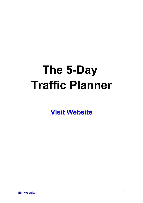# **The 5-Day Traffic Planner**

**[Visit Website](http://replug.link/f7ab3460/)**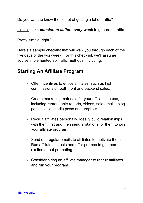Do you want to know the secret of getting a lot of traffic?

It's this: take **consistent action every week** to generate traffic.

Pretty simple, right?

Here's a sample checklist that will walk you through each of the five days of the workweek. For this checklist, we'll assume you've implemented six traffic methods, including:

# **Starting An Affiliate Program**

- Offer incentives to entice affiliates, such as high commissions on both front and backend sales.
- Create marketing materials for your affiliates to use, including rebrandable reports, videos, solo emails, blog posts, social media posts and graphics.
- Recruit affiliates personally. Ideally build relationships with them first and then send invitations for them to join your affiliate program.
- Send out regular emails to affiliates to motivate them. Run affiliate contests and offer promos to get them excited about promoting.
- Consider hiring an affiliate manager to recruit affiliates and run your program.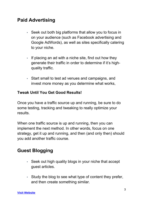# **Paid Advertising**

- Seek out both big platforms that allow you to focus in on your audience (such as Facebook advertising and Google AdWords), as well as sites specifically catering to your niche.
- If placing an ad with a niche site, find out how they generate their traffic in order to determine if it's highquality traffic.
- Start small to test ad venues and campaigns, and invest more money as you determine what works,

#### **Tweak Until You Get Good Results!**

Once you have a traffic source up and running, be sure to do some testing, tracking and tweaking to really optimize your results.

When one traffic source is up and running, then you can implement the next method. In other words, focus on one strategy, get it up and running, and then (and only then) should you add another traffic course.

# **Guest Blogging**

- Seek out high quality blogs in your niche that accept guest articles.
- Study the blog to see what type of content they prefer, and then create something similar.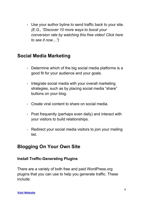• Use your author byline to send traffic back to your site. *(E.G., "Discover 10 more ways to boost your conversion rate by watching this free video! Click here to see it now…")*

## **Social Media Marketing**

- Determine which of the big social media platforms is a good fit for your audience and your goals.
- Integrate social media with your overall marketing strategies, such as by placing social media "share" buttons on your blog.
- Create viral content to share on social media.
- Post frequently (perhaps even daily) and interact with your visitors to build relationships.
- Redirect your social media visitors to join your mailing list.

## **Blogging On Your Own Site**

#### **Install Traffic-Generating Plugins**

There are a variety of both free and paid WordPress.org plugins that you can use to help you generate traffic. These include: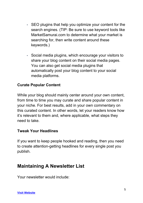- SEO plugins that help you optimize your content for the search engines. (TIP: Be sure to use keyword tools like MarketSamurai.com to determine what your market is searching for, then write content around these keywords.)
- Social media plugins, which encourage your visitors to share your blog content on their social media pages. You can also get social media plugins that automatically post your blog content to your social media platforms.

#### **Curate Popular Content**

While your blog should mainly center around your own content, from time to time you may curate and share popular content in your niche. For best results, add in your own commentary on this curated content. In other words, let your readers know how it's relevant to them and, where applicable, what steps they need to take.

#### **Tweak Your Headlines**

If you want to keep people hooked and reading, then you need to create attention-getting headlines for every single post you publish.

### **Maintaining A Newsletter List**

Your newsletter would include: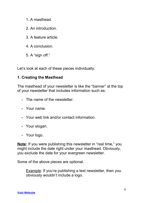- 1. A masthead.
- 2. An introduction.
- 3. A feature article.
- 4. A conclusion.
- 5. A "sign off."

Let's look at each of these pieces individually:

#### **1. Creating the Masthead**

The masthead of your newsletter is like the "banner" at the top of your newsletter that includes information such as:

- The name of the newsletter.
- Your name.
- Your web link and/or contact information.
- Your slogan.
- Your logo.

**Note:** If you were publishing this newsletter in "real time," you might include the date right under your masthead. Obviously, you exclude the date for your evergreen newsletter.

Some of the above pieces are optional.

Example: If you're publishing a text newsletter, then you obviously wouldn't include a logo.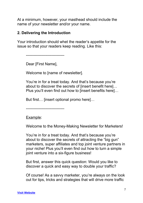At a minimum, however, your masthead should include the name of your newsletter and/or your name.

#### **2. Delivering the Introduction**

Your introduction should whet the reader's appetite for the issue so that your readers keep reading. Like this:

------------------------------

Dear [First Name],

Welcome to [name of newsletter].

You're in for a treat today. And that's because you're about to discover the secrets of [insert benefit here]… Plus you'll even find out how to [insert benefits here]…

But first… [insert optional promo here]…

------------------------------

Example:

Welcome to the Money-Making Newsletter for Marketers!

You're in for a treat today. And that's because you're about to discover the secrets of attracting the "big gun" marketers, super affiliates and top joint venture partners in your niche! Plus you'll even find out how to turn a simple joint venture into a six-figure business!

But first, answer this quick question: Would you like to discover a quick and easy way to double your traffic?

Of course! As a savvy marketer, you're always on the look out for tips, tricks and strategies that will drive more traffic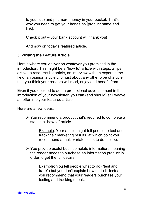to your site and put more money in your pocket. That's why you need to get your hands on [product name and link].

Check it out – your bank account will thank you!

And now on today's featured article…

#### **3. Writing the Feature Article**

Here's where you deliver on whatever you promised in the introduction. This might be a "how to" article with steps, a tips article, a resource list article, an interview with an expert in the field, an opinion article… or just about any other type of article that you think your readers will read, enjoy and benefit from.

Even if you decided to add a promotional advertisement in the introduction of your newsletter, you can (and should) still weave an offer into your featured article.

Here are a few ideas:

 $\triangleright$  You recommend a product that's required to complete a step in a "how to" article.

> Example: Your article might tell people to test and track their marketing results, at which point you recommend a multi-variate script to do the job.

 $\triangleright$  You provide useful but incomplete information, meaning the reader needs to purchase an information product in order to get the full details.

> Example: You tell people what to do ("test and track") but you don't explain how to do it. Instead, you recommend that your readers purchase your testing and tracking ebook.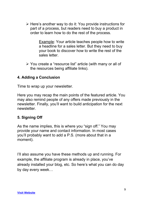$\triangleright$  Here's another way to do it: You provide instructions for part of a process, but readers need to buy a product in order to learn how to do the rest of the process.

> Example: Your article teaches people how to write a headline for a sales letter. But they need to buy your book to discover how to write the rest of the sales letter.

 You create a "resource list" article (with many or all of the resources being affiliate links).

#### **4. Adding a Conclusion**

Time to wrap up your newsletter.

Here you may recap the main points of the featured article. You may also remind people of any offers made previously in the newsletter. Finally, you'll want to build anticipation for the next newsletter.

#### **5. Signing Off**

As the name implies, this is where you "sign off." You may provide your name and contact information. In most cases you'll probably want to add a P.S. (more about that in a moment).

I'll also assume you have these methods up and running. For example, the affiliate program is already in place, you've already installed your blog, etc. So here's what you can do day by day every week…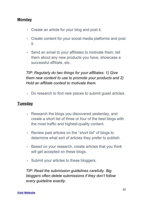#### **Monday**

- Create an article for your blog and post it.
- Create content for your social media platforms and post it.
- Send an email to your affiliates to motivate them, tell them about any new products you have, showcase a successful affiliate, etc.

*TIP: Regularly do two things for your affiliates: 1) Give them new content to use to promote your products and 2) Hold an affiliate contest to motivate them.*

• Do research to find new places to submit guest articles.

#### **Tuesday**

- Research the blogs you discovered yesterday, and create a short list of three or four of the best blogs with the most traffic and highest-quality content.
- Review past articles on the "*short list*" of blogs to determine what sort of articles they prefer to publish.
- Based on your research, create articles that you think will get accepted on these blogs.
- Submit your articles to these bloggers.

*TIP: Read the submission guidelines carefully. Big bloggers often delete submissions if they don't follow every guideline exactly.*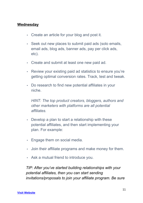#### **Wednesday**

- Create an article for your blog and post it.
- Seek out new places to submit paid ads (solo emails, email ads, blog ads, banner ads, pay per click ads, etc).
- Create and submit at least one new paid ad.
- Review your existing paid ad statistics to ensure you're getting optimal conversion rates. Track, test and tweak.
- Do research to find new potential affiliates in your niche.

*HINT: The top product creators, bloggers, authors and other marketers with platforms are all potential affiliates.*

- Develop a plan to start a relationship with these potential affiliates, and then start implementing your plan. For example:
- Engage them on social media.
- Join their affiliate programs and make money for them.
- Ask a mutual friend to introduce you.

*TIP: After you've started building relationships with your potential affiliates, then you can start sending invitations/proposals to join your affiliate program. Be sure*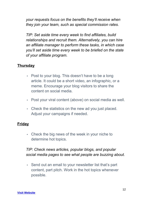*your requests focus on the benefits they'll receive when they join your team, such as special commission rates.*

*TIP: Set aside time every week to find affiliates, build relationships and recruit them. Alternatively, you can hire an affiliate manager to perform these tasks, in which case you'll set aside time every week to be briefed on the state of your affiliate program.*

#### **Thursday**

- Post to your blog. This doesn't have to be a long article. It could be a short video, an infographic, or a meme. Encourage your blog visitors to share the content on social media.
- Post your viral content (above) on social media as well.
- Check the statistics on the new ad you just placed. Adjust your campaigns if needed.

#### **Friday**

• Check the big news of the week in your niche to determine hot topics.

#### *TIP: Check news articles, popular blogs, and popular social media pages to see what people are buzzing about.*

• Send out an email to your newsletter list that's part content, part pitch. Work in the hot topics whenever possible.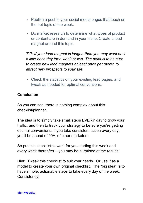- Publish a post to your social media pages that touch on the hot topic of the week.
- Do market research to determine what types of product or content are in demand in your niche. Create a lead magnet around this topic.

*TIP: If your lead magnet is longer, then you may work on it a little each day for a week or two. The point is to be sure to create new lead magnets at least once per month to attract new prospects to your site.*

• Check the statistics on your existing lead pages, and tweak as needed for optimal conversions.

#### **Conclusion**

As you can see, there is nothing complex about this checklist/planner.

The idea is to simply take small steps EVERY day to grow your traffic, and then to track your strategy to be sure you're getting optimal conversions. If you take consistent action every day, you'll be ahead of 90% of other marketers.

So put this checklist to work for you starting this week and every week thereafter – you may be surprised at the results!

Hint: Tweak this checklist to suit your needs. Or use it as a model to create your own original checklist. The "big idea" is to have simple, actionable steps to take every day of the week. Consistency!